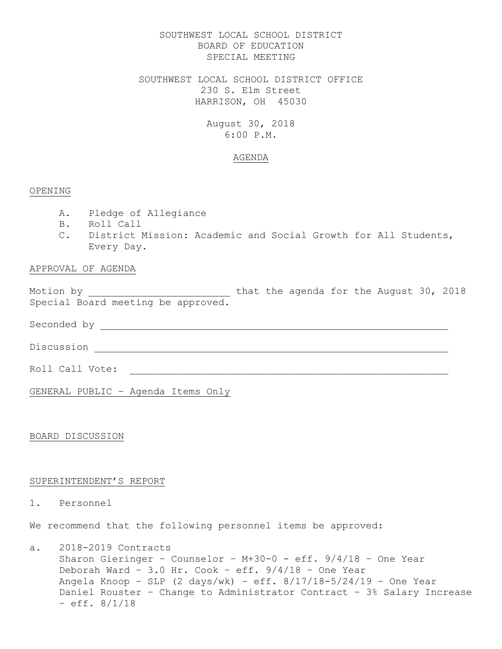## SOUTHWEST LOCAL SCHOOL DISTRICT BOARD OF EDUCATION SPECIAL MEETING

SOUTHWEST LOCAL SCHOOL DISTRICT OFFICE 230 S. Elm Street HARRISON, OH 45030

# August 30, 2018 6:00 P.M.

### AGENDA

### OPENING

- A. Pledge of Allegiance
- B. Roll Call
- C. District Mission: Academic and Social Growth for All Students, Every Day.

## APPROVAL OF AGENDA

Motion by \_\_\_\_\_\_\_\_\_\_\_\_\_\_\_\_\_\_\_\_\_\_\_\_\_\_\_ that the agenda for the August 30, 2018 Special Board meeting be approved.

Seconded by \_\_\_\_\_\_\_\_\_\_\_\_\_\_\_\_\_\_\_\_\_\_\_\_\_\_\_\_\_\_\_\_\_\_\_\_\_\_\_\_\_\_\_\_\_\_\_\_\_\_\_\_\_\_\_\_\_\_\_

Discussion \_\_\_\_\_\_\_\_\_\_\_\_\_\_\_\_\_\_\_\_\_\_\_\_\_\_\_\_\_\_\_\_\_\_\_\_\_\_\_\_\_\_\_\_\_\_\_\_\_\_\_\_\_\_\_\_\_\_\_\_

Roll Call Vote: \_\_\_\_\_\_\_\_\_\_\_\_\_\_\_\_\_\_\_\_\_\_\_\_\_\_\_\_\_\_\_\_\_\_\_\_\_\_\_\_\_\_\_\_\_\_\_\_\_\_\_\_\_\_

GENERAL PUBLIC – Agenda Items Only

BOARD DISCUSSION

### SUPERINTENDENT'S REPORT

## 1. Personnel

We recommend that the following personnel items be approved:

a. 2018-2019 Contracts Sharon Gieringer – Counselor – M+30-0 - eff. 9/4/18 – One Year Deborah Ward - 3.0 Hr. Cook - eff.  $9/4/18$  - One Year Angela Knoop - SLP  $(2 \text{ days}/\text{wk})$  - eff.  $8/17/18-5/24/19$  - One Year Daniel Rouster – Change to Administrator Contract – 3% Salary Increase  $-$  eff.  $8/1/18$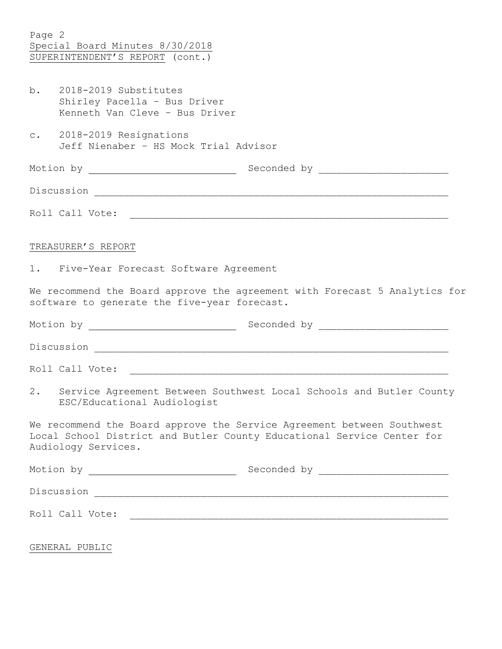| Page 2 | Special Board Minutes 8/30/2018<br>SUPERINTENDENT'S REPORT (cont.)                                                                                                      |
|--------|-------------------------------------------------------------------------------------------------------------------------------------------------------------------------|
|        | $b.$ 2018-2019 Substitutes<br>Shirley Pacella - Bus Driver<br>Kenneth Van Cleve - Bus Driver                                                                            |
|        | c. 2018-2019 Resignations<br>Jeff Nienaber - HS Mock Trial Advisor                                                                                                      |
|        |                                                                                                                                                                         |
|        |                                                                                                                                                                         |
|        |                                                                                                                                                                         |
|        | TREASURER'S REPORT                                                                                                                                                      |
|        | 1. Five-Year Forecast Software Agreement                                                                                                                                |
|        | We recommend the Board approve the agreement with Forecast 5 Analytics for<br>software to generate the five-year forecast.                                              |
|        |                                                                                                                                                                         |
|        |                                                                                                                                                                         |
|        |                                                                                                                                                                         |
|        | 2. Service Agreement Between Southwest Local Schools and Butler County<br>ESC/Educational Audiologist                                                                   |
|        | We recommend the Board approve the Service Agreement between Southwest<br>Local School District and Butler County Educational Service Center for<br>Audiology Services. |
|        |                                                                                                                                                                         |
|        |                                                                                                                                                                         |
|        |                                                                                                                                                                         |
|        | GENERAL PUBLIC                                                                                                                                                          |